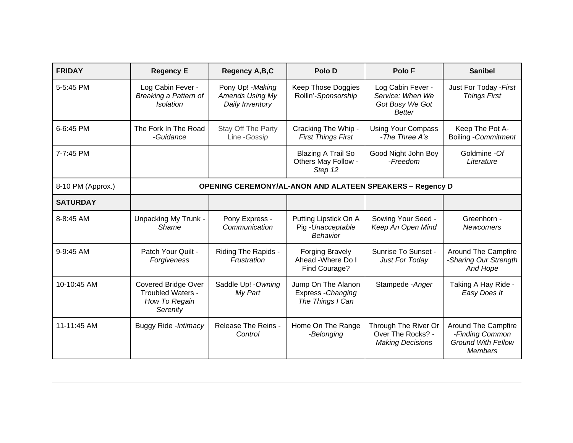| <b>FRIDAY</b>     | <b>Regency E</b>                                                             | Regency A,B,C                                                  | Polo D                                                        | Polo F                                                                    | <b>Sanibel</b>                                                                        |  |  |
|-------------------|------------------------------------------------------------------------------|----------------------------------------------------------------|---------------------------------------------------------------|---------------------------------------------------------------------------|---------------------------------------------------------------------------------------|--|--|
| 5-5:45 PM         | Log Cabin Fever -<br>Breaking a Pattern of<br><b>Isolation</b>               | Pony Up! - Making<br><b>Amends Using My</b><br>Daily Inventory | <b>Keep Those Doggies</b><br>Rollin'-Sponsorship              | Log Cabin Fever -<br>Service: When We<br>Got Busy We Got<br><b>Better</b> | Just For Today - First<br><b>Things First</b>                                         |  |  |
| 6-6:45 PM         | The Fork In The Road<br>-Guidance                                            | Stay Off The Party<br>Line - Gossip                            | Cracking The Whip -<br><b>First Things First</b>              | <b>Using Your Compass</b><br>-The Three A's                               | Keep The Pot A-<br><b>Boiling - Commitment</b>                                        |  |  |
| 7-7:45 PM         |                                                                              |                                                                | <b>Blazing A Trail So</b><br>Others May Follow -<br>Step 12   | Good Night John Boy<br>-Freedom                                           | Goldmine - Of<br>Literature                                                           |  |  |
| 8-10 PM (Approx.) | <b>OPENING CEREMONY/AL-ANON AND ALATEEN SPEAKERS - Regency D</b>             |                                                                |                                                               |                                                                           |                                                                                       |  |  |
| <b>SATURDAY</b>   |                                                                              |                                                                |                                                               |                                                                           |                                                                                       |  |  |
| 8-8:45 AM         | Unpacking My Trunk -<br>Shame                                                | Pony Express -<br>Communication                                | Putting Lipstick On A<br>Pig-Unacceptable<br>Behavior         | Sowing Your Seed -<br>Keep An Open Mind                                   | Greenhorn -<br><b>Newcomers</b>                                                       |  |  |
| 9-9:45 AM         | Patch Your Quilt -<br>Forgiveness                                            | Riding The Rapids -<br>Frustration                             | <b>Forging Bravely</b><br>Ahead - Where Do I<br>Find Courage? | Sunrise To Sunset -<br>Just For Today                                     | <b>Around The Campfire</b><br>-Sharing Our Strength<br>And Hope                       |  |  |
| 10-10:45 AM       | <b>Covered Bridge Over</b><br>Troubled Waters -<br>How To Regain<br>Serenity | Saddle Up! - Owning<br>My Part                                 | Jump On The Alanon<br>Express - Changing<br>The Things I Can  | Stampede - Anger                                                          | Taking A Hay Ride -<br>Easy Does It                                                   |  |  |
| 11-11:45 AM       | Buggy Ride - Intimacy                                                        | Release The Reins -<br>Control                                 | Home On The Range<br>-Belonging                               | Through The River Or<br>Over The Rocks? -<br><b>Making Decisions</b>      | Around The Campfire<br>-Finding Common<br><b>Ground With Fellow</b><br><b>Members</b> |  |  |